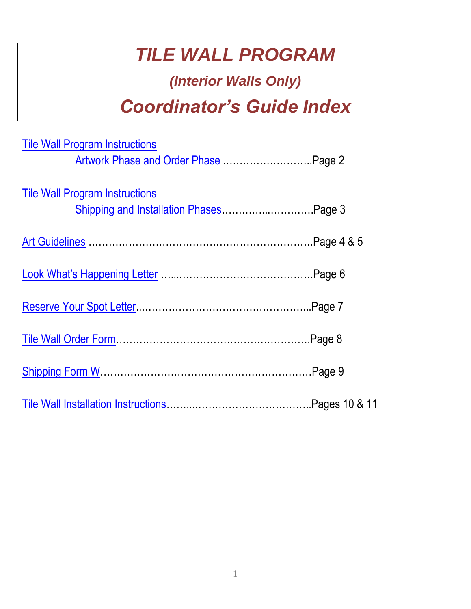# *TILE WALL PROGRAM*

## *(Interior Walls Only)*

# *Coordinator's Guide Index*

| <b>Tile Wall Program Instructions</b> |  |
|---------------------------------------|--|
| Artwork Phase and Order Phase  Page 2 |  |
| <b>Tile Wall Program Instructions</b> |  |
|                                       |  |
|                                       |  |
|                                       |  |
|                                       |  |
|                                       |  |
|                                       |  |
|                                       |  |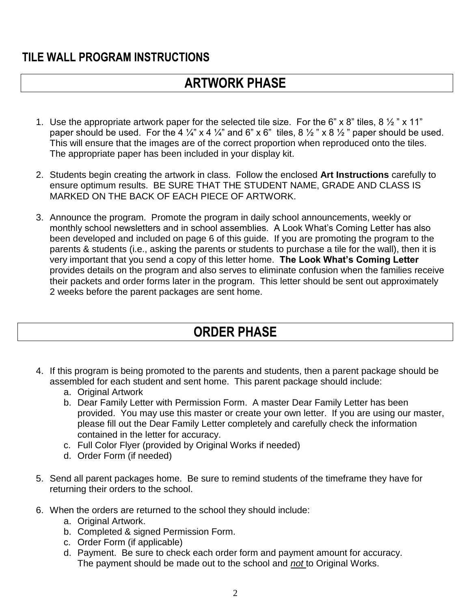### <span id="page-1-0"></span>**TILE WALL PROGRAM INSTRUCTIONS**

## **ARTWORK PHASE**

- 1. Use the appropriate artwork paper for the selected tile size. For the 6" x 8" tiles, 8  $\frac{1}{2}$ " x 11" paper should be used. For the 4  $\frac{1}{4}$ " x 4  $\frac{1}{4}$ " and 6" x 6" tiles, 8  $\frac{1}{2}$ " x 8  $\frac{1}{2}$ " paper should be used. This will ensure that the images are of the correct proportion when reproduced onto the tiles. The appropriate paper has been included in your display kit.
- 2. Students begin creating the artwork in class. Follow the enclosed **Art Instructions** carefully to ensure optimum results. BE SURE THAT THE STUDENT NAME, GRADE AND CLASS IS MARKED ON THE BACK OF EACH PIECE OF ARTWORK.
- 3. Announce the program. Promote the program in daily school announcements, weekly or monthly school newsletters and in school assemblies. A Look What's Coming Letter has also been developed and included on page 6 of this guide. If you are promoting the program to the parents & students (i.e., asking the parents or students to purchase a tile for the wall), then it is very important that you send a copy of this letter home. **The Look What's Coming Letter** provides details on the program and also serves to eliminate confusion when the families receive their packets and order forms later in the program. This letter should be sent out approximately 2 weeks before the parent packages are sent home.

## **ORDER PHASE**

- 4. If this program is being promoted to the parents and students, then a parent package should be assembled for each student and sent home. This parent package should include:
	- a. Original Artwork
	- b. Dear Family Letter with Permission Form. A master Dear Family Letter has been provided. You may use this master or create your own letter. If you are using our master, please fill out the Dear Family Letter completely and carefully check the information contained in the letter for accuracy.
	- c. Full Color Flyer (provided by Original Works if needed)
	- d. Order Form (if needed)
- 5. Send all parent packages home. Be sure to remind students of the timeframe they have for returning their orders to the school.
- 6. When the orders are returned to the school they should include:
	- a. Original Artwork.
	- b. Completed & signed Permission Form.
	- c. Order Form (if applicable)
	- d. Payment. Be sure to check each order form and payment amount for accuracy. The payment should be made out to the school and *not* to Original Works.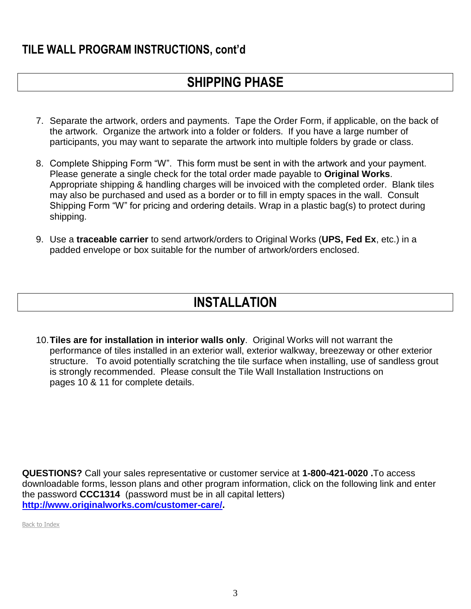### <span id="page-2-0"></span>**TILE WALL PROGRAM INSTRUCTIONS, cont'd**

## **SHIPPING PHASE**

- 7. Separate the artwork, orders and payments. Tape the Order Form, if applicable, on the back of the artwork. Organize the artwork into a folder or folders. If you have a large number of participants, you may want to separate the artwork into multiple folders by grade or class.
- 8. Complete Shipping Form "W". This form must be sent in with the artwork and your payment. Please generate a single check for the total order made payable to **Original Works**. Appropriate shipping & handling charges will be invoiced with the completed order. Blank tiles may also be purchased and used as a border or to fill in empty spaces in the wall. Consult Shipping Form "W" for pricing and ordering details. Wrap in a plastic bag(s) to protect during shipping.
- 9. Use a **traceable carrier** to send artwork/orders to Original Works (**UPS, Fed Ex**, etc.) in a padded envelope or box suitable for the number of artwork/orders enclosed.

## **INSTALLATION**

10.**Tiles are for installation in interior walls only**. Original Works will not warrant the performance of tiles installed in an exterior wall, exterior walkway, breezeway or other exterior structure. To avoid potentially scratching the tile surface when installing, use of sandless grout is strongly recommended. Please consult the Tile Wall Installation Instructions on pages 10 & 11 for complete details.

**QUESTIONS?** Call your sales representative or customer service at **1-800-421-0020 .**To access downloadable forms, lesson plans and other program information, click on the following link and enter the password **CCC1314** (password must be in all capital letters) **[http://www.originalworks.com/customer-care/.](http://www.originalworks.com/customer-care/)**

Back to Index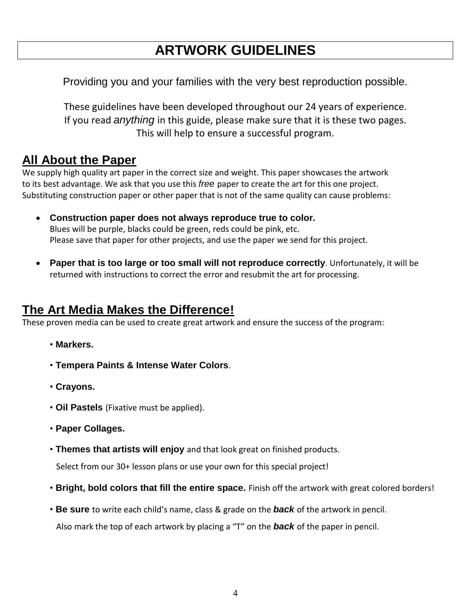## **ARTWORK GUIDELINES**

<span id="page-3-0"></span>Providing you and your families with the very best reproduction possible.

These guidelines have been developed throughout our 24 years of experience. If you read *anything* in this guide, please make sure that it is these two pages. This will help to ensure a successful program.

### **All About the Paper**

We supply high quality art paper in the correct size and weight. This paper showcases the artwork to its best advantage. We ask that you use this *free* paper to create the art for this one project. Substituting construction paper or other paper that is not of the same quality can cause problems:

- **Construction paper does not always reproduce true to color.** Blues will be purple, blacks could be green, reds could be pink, etc. Please save that paper for other projects, and use the paper we send for this project.
- **Paper that is too large or too small will not reproduce correctly**. Unfortunately, it will be returned with instructions to correct the error and resubmit the art for processing.

### **The Art Media Makes the Difference!**

These proven media can be used to create great artwork and ensure the success of the program:

- **Markers.**
- **Tempera Paints & Intense Water Colors**.
- **Crayons.**
- **Oil Pastels** (Fixative must be applied).
- **Paper Collages.**
- **Themes that artists will enjoy** and that look great on finished products.

Select from our 30+ lesson plans or use your own for this special project!

- **Bright, bold colors that fill the entire space.** Finish off the artwork with great colored borders!
- **Be sure** to write each child's name, class & grade on the *back* of the artwork in pencil. Also mark the top of each artwork by placing a "T" on the *back* of the paper in pencil.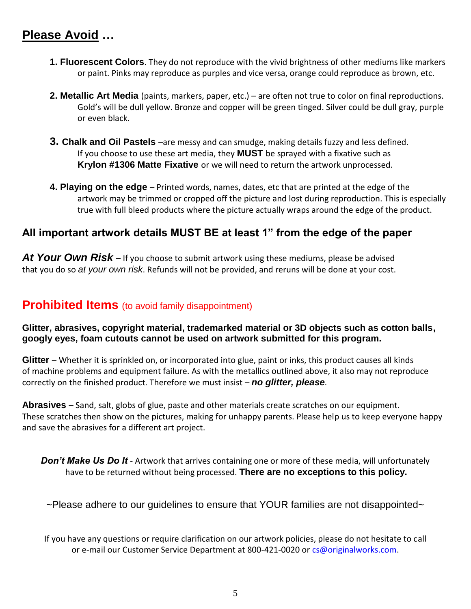### **Please Avoid …**

- **1. Fluorescent Colors**. They do not reproduce with the vivid brightness of other mediums like markers or paint. Pinks may reproduce as purples and vice versa, orange could reproduce as brown, etc.
- **2. Metallic Art Media** (paints, markers, paper, etc.) are often not true to color on final reproductions. Gold's will be dull yellow. Bronze and copper will be green tinged. Silver could be dull gray, purple or even black.
- **3. Chalk and Oil Pastels** –are messy and can smudge, making details fuzzy and less defined. If you choose to use these art media, they **MUST** be sprayed with a fixative such as **Krylon #1306 Matte Fixative** or we will need to return the artwork unprocessed.
- **4. Playing on the edge**  Printed words, names, dates, etc that are printed at the edge of the artwork may be trimmed or cropped off the picture and lost during reproduction. This is especially true with full bleed products where the picture actually wraps around the edge of the product.

### **All important artwork details MUST BE at least 1" from the edge of the paper**

At Your Own Risk – If you choose to submit artwork using these mediums, please be advised that you do so *at your own risk*. Refunds will not be provided, and reruns will be done at your cost.

### **Prohibited Items** (to avoid family disappointment)

**Glitter, abrasives, copyright material, trademarked material or 3D objects such as cotton balls, googly eyes, foam cutouts cannot be used on artwork submitted for this program.**

**Glitter** – Whether it is sprinkled on, or incorporated into glue, paint or inks, this product causes all kinds of machine problems and equipment failure. As with the metallics outlined above, it also may not reproduce correctly on the finished product. Therefore we must insist – *no glitter, please.*

**Abrasives** – Sand, salt, globs of glue, paste and other materials create scratches on our equipment. These scratches then show on the pictures, making for unhappy parents. Please help us to keep everyone happy and save the abrasives for a different art project.

**Don't Make Us Do It** - Artwork that arrives containing one or more of these media, will unfortunately have to be returned without being processed. **There are no exceptions to this policy.**

~Please adhere to our quidelines to ensure that YOUR families are not disappointed~

If you have any questions or require clarification on our artwork policies, please do not hesitate to call or e-mail our Customer Service Department at 800-421-0020 or cs@originalworks.com.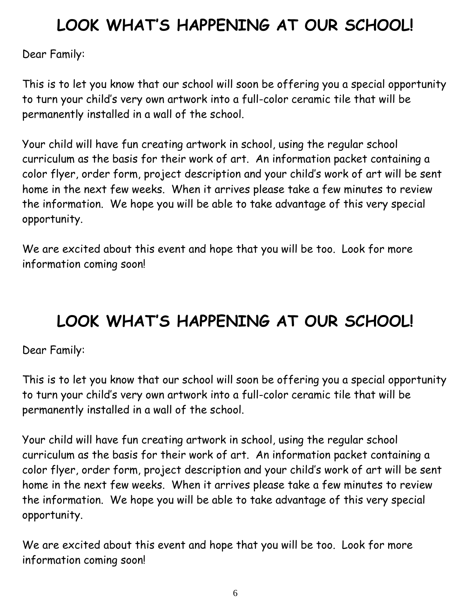# <span id="page-5-0"></span>**LOOK WHAT'S HAPPENING AT OUR SCHOOL!**

Dear Family:

This is to let you know that our school will soon be offering you a special opportunity to turn your child's very own artwork into a full-color ceramic tile that will be permanently installed in a wall of the school.

Your child will have fun creating artwork in school, using the regular school curriculum as the basis for their work of art. An information packet containing a color flyer, order form, project description and your child's work of art will be sent home in the next few weeks. When it arrives please take a few minutes to review the information. We hope you will be able to take advantage of this very special opportunity.

We are excited about this event and hope that you will be too. Look for more information coming soon!

# **LOOK WHAT'S HAPPENING AT OUR SCHOOL!**

Dear Family:

This is to let you know that our school will soon be offering you a special opportunity to turn your child's very own artwork into a full-color ceramic tile that will be permanently installed in a wall of the school.

Your child will have fun creating artwork in school, using the regular school curriculum as the basis for their work of art. An information packet containing a color flyer, order form, project description and your child's work of art will be sent home in the next few weeks. When it arrives please take a few minutes to review the information. We hope you will be able to take advantage of this very special opportunity.

We are excited about this event and hope that you will be too. Look for more information coming soon!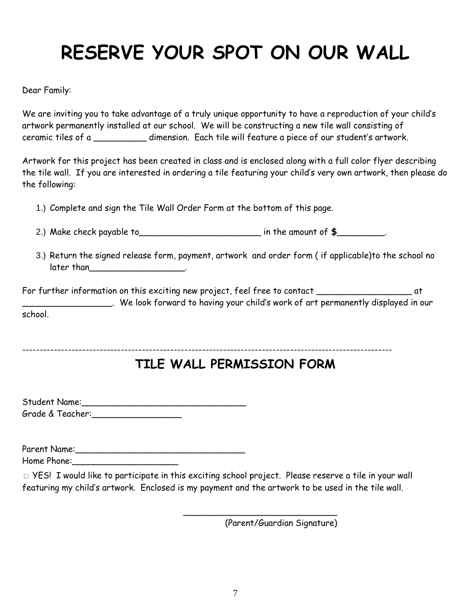# <span id="page-6-0"></span>**RESERVE YOUR SPOT ON OUR WALL**

Dear Family:

We are inviting you to take advantage of a truly unique opportunity to have a reproduction of your child's artwork permanently installed at our school. We will be constructing a new tile wall consisting of ceramic tiles of a \_\_\_\_\_\_\_\_\_\_ dimension. Each tile will feature a piece of our student's artwork.

Artwork for this project has been created in class and is enclosed along with a full color flyer describing the tile wall. If you are interested in ordering a tile featuring your child's very own artwork, then please do the following:

1.) Complete and sign the Tile Wall Order Form at the bottom of this page.

- 2.) Make check payable to\_\_\_\_\_\_\_\_\_\_\_\_\_\_\_\_\_\_\_\_\_\_\_ in the amount of **\$**\_\_\_\_\_\_\_\_\_.
- 3.) Return the signed release form, payment, artwork and order form ( if applicable)to the school no later than \_\_\_\_\_\_\_\_\_\_\_\_\_\_\_\_\_\_\_\_.

For further information on this exciting new project, feel free to contact \_\_\_\_\_\_\_\_\_\_\_\_\_\_\_\_\_\_\_\_\_\_\_\_ at \_\_\_\_\_\_\_\_\_\_\_\_\_\_\_\_\_. We look forward to having your child's work of art permanently displayed in our school.

---------------------------------------------------------------------------------------------------------

## **TILE WALL PERMISSION FORM**

Student Name:\_\_\_\_\_\_\_\_\_\_\_\_\_\_\_\_\_\_\_\_\_\_\_\_\_\_\_\_\_\_\_ Grade & Teacher:\_\_\_\_\_\_\_\_\_\_\_\_\_\_\_\_\_

Parent Name:\_\_\_\_\_\_\_\_\_\_\_\_\_\_\_\_\_\_\_\_\_\_\_\_\_\_\_\_\_\_\_\_

Home Phone:

 $\Box$  YES! I would like to participate in this exciting school project. Please reserve a tile in your wall featuring my child's artwork. Enclosed is my payment and the artwork to be used in the tile wall.

(Parent/Guardian Signature)

 $\overline{\phantom{a}}$  , and the contract of the contract of the contract of the contract of the contract of the contract of the contract of the contract of the contract of the contract of the contract of the contract of the contrac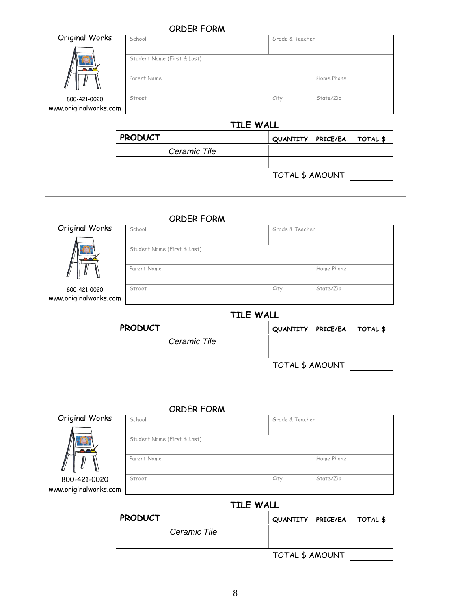#### <span id="page-7-0"></span>ORDER FORM

|                                       | <b>ORDER FORM</b>                          |                 |            |
|---------------------------------------|--------------------------------------------|-----------------|------------|
| Original Works                        | School                                     | Grade & Teacher |            |
|                                       | Student Name (First & Last)<br>Parent Name |                 | Home Phone |
| 800-421-0020<br>www.originalworks.com | Street                                     | City            | State/Zip  |

#### **TILE WALL**

| <b>PRODUCT</b> | QUANTITY   PRICE/EA   TOTAL \$ |  |
|----------------|--------------------------------|--|
| Ceramic Tile   |                                |  |
|                |                                |  |
|                | TOTAL \$ AMOUNT                |  |

#### ORDER FORM

School Grade & Teacher

Original Works



#### 800-421-0020 www.originalworks.com

| Parent Name |      | Home Phone |
|-------------|------|------------|
|             |      |            |
| Street      | City | State/Zip  |
|             |      |            |

| .              |                                |  |  |  |  |  |
|----------------|--------------------------------|--|--|--|--|--|
| <b>PRODUCT</b> | QUANTITY   PRICE/EA   TOTAL \$ |  |  |  |  |  |
| Ceramic Tile   |                                |  |  |  |  |  |
|                |                                |  |  |  |  |  |
|                | TOTAL \$ AMOUNT                |  |  |  |  |  |

#### ORDER FORM



| School                      | Grade & Teacher |            |
|-----------------------------|-----------------|------------|
| Student Name (First & Last) |                 |            |
| Parent Name                 |                 | Home Phone |
| Street                      | City            | State/Zip  |
|                             |                 |            |

### **TILE WALL**

<span id="page-7-1"></span>

| <b>PRODUCT</b> | QUANTITY   PRICE/EA   TOTAL \$ |  |
|----------------|--------------------------------|--|
| Ceramic Tile   |                                |  |
|                |                                |  |
|                | TOTAL \$ AMOUNT                |  |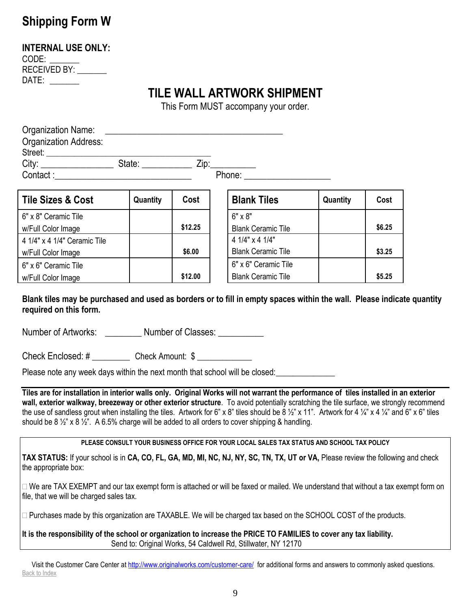## **Shipping Form W**

#### **INTERNAL USE ONLY:**

CODE: RECEIVED BY: DATE: \_\_\_\_\_\_\_

## **TILE WALL ARTWORK SHIPMENT**

This Form MUST accompany your order.

| Organization Name:<br><b>Organization Address:</b>                                                                                                                                                                                                                                                                                                                                                                                                                                                                                                                                             |          |         |                                                                                           |          |        |
|------------------------------------------------------------------------------------------------------------------------------------------------------------------------------------------------------------------------------------------------------------------------------------------------------------------------------------------------------------------------------------------------------------------------------------------------------------------------------------------------------------------------------------------------------------------------------------------------|----------|---------|-------------------------------------------------------------------------------------------|----------|--------|
|                                                                                                                                                                                                                                                                                                                                                                                                                                                                                                                                                                                                |          |         |                                                                                           |          |        |
| <b>Tile Sizes &amp; Cost</b>                                                                                                                                                                                                                                                                                                                                                                                                                                                                                                                                                                   | Quantity | Cost    | <b>Blank Tiles</b>                                                                        | Quantity | Cost   |
| 6" x 8" Ceramic Tile<br>w/Full Color Image                                                                                                                                                                                                                                                                                                                                                                                                                                                                                                                                                     |          | \$12.25 | $6" \times 8"$<br><b>Blank Ceramic Tile</b>                                               |          | \$6.25 |
| 4 1/4" x 4 1/4" Ceramic Tile<br>w/Full Color Image                                                                                                                                                                                                                                                                                                                                                                                                                                                                                                                                             |          | \$6.00  | 4 1/4" x 4 1/4"<br><b>Blank Ceramic Tile</b>                                              |          | \$3.25 |
| 6" x 6" Ceramic Tile<br>w/Full Color Image                                                                                                                                                                                                                                                                                                                                                                                                                                                                                                                                                     |          | \$12.00 | 6" x 6" Ceramic Tile<br><b>Blank Ceramic Tile</b>                                         |          | \$5.25 |
| Blank tiles may be purchased and used as borders or to fill in empty spaces within the wall. Please indicate quantity<br>required on this form.<br>Number of Artworks: Number of Classes:<br>Check Enclosed: # _____________ Check Amount: \$ ______________<br>Please note any week days within the next month that school will be closed:                                                                                                                                                                                                                                                    |          |         |                                                                                           |          |        |
| Tiles are for installation in interior walls only. Original Works will not warrant the performance of tiles installed in an exterior<br>wall, exterior walkway, breezeway or other exterior structure. To avoid potentially scratching the tile surface, we strongly recommend<br>the use of sandless grout when installing the tiles. Artwork for 6" x 8" tiles should be 8 $\frac{1}{2}$ " x 11". Artwork for 4 $\frac{1}{4}$ " x 4 $\frac{1}{4}$ " and 6" x 6" tiles<br>should be $8\frac{1}{2}$ x $8\frac{1}{2}$ . A 6.5% charge will be added to all orders to cover shipping & handling. |          |         |                                                                                           |          |        |
| TAX STATUS: If your school is in CA, CO, FL, GA, MD, MI, NC, NJ, NY, SC, TN, TX, UT or VA, Please review the following and check<br>the appropriate box:                                                                                                                                                                                                                                                                                                                                                                                                                                       |          |         | PLEASE CONSULT YOUR BUSINESS OFFICE FOR YOUR LOCAL SALES TAX STATUS AND SCHOOL TAX POLICY |          |        |
| □ We are TAX EXEMPT and our tax exempt form is attached or will be faxed or mailed. We understand that without a tax exempt form on<br>file, that we will be charged sales tax.                                                                                                                                                                                                                                                                                                                                                                                                                |          |         |                                                                                           |          |        |
| $\Box$ Purchases made by this organization are TAXABLE. We will be charged tax based on the SCHOOL COST of the products.                                                                                                                                                                                                                                                                                                                                                                                                                                                                       |          |         |                                                                                           |          |        |

**It is the responsibility of the school or organization to increase the PRICE TO FAMILIES to cover any tax liability.** Send to: Original Works, 54 Caldwell Rd, Stillwater, NY 12170

Visit the Customer Care Center a[t http://www.originalworks.com/customer-care/](http://www.originalworks.com/customer-care/) for additional forms and answers to commonly asked questions. Back to Index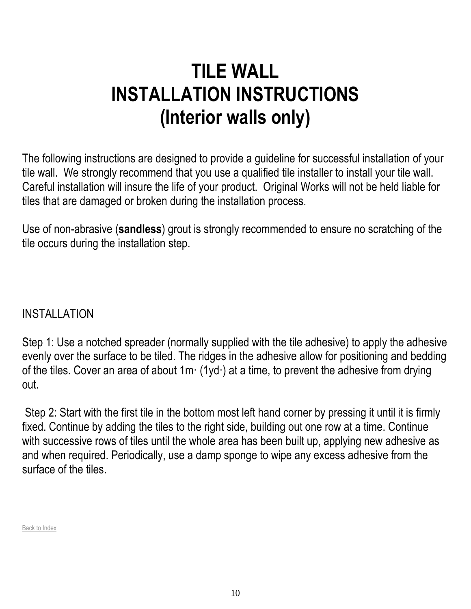# <span id="page-9-0"></span>**TILE WALL INSTALLATION INSTRUCTIONS (Interior walls only)**

The following instructions are designed to provide a guideline for successful installation of your tile wall. We strongly recommend that you use a qualified tile installer to install your tile wall. Careful installation will insure the life of your product. Original Works will not be held liable for tiles that are damaged or broken during the installation process.

Use of non-abrasive (**sandless**) grout is strongly recommended to ensure no scratching of the tile occurs during the installation step.

INSTALLATION

Step 1: Use a notched spreader (normally supplied with the tile adhesive) to apply the adhesive evenly over the surface to be tiled. The ridges in the adhesive allow for positioning and bedding of the tiles. Cover an area of about  $1m \cdot (1yd \cdot)$  at a time, to prevent the adhesive from drying out.

Step 2: Start with the first tile in the bottom most left hand corner by pressing it until it is firmly fixed. Continue by adding the tiles to the right side, building out one row at a time. Continue with successive rows of tiles until the whole area has been built up, applying new adhesive as and when required. Periodically, use a damp sponge to wipe any excess adhesive from the surface of the tiles.

Back to Index